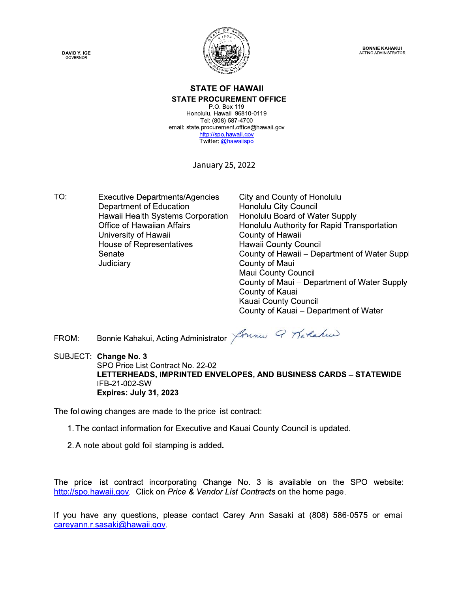**DAVID Y. IGE**<br>GOVERNOR



**BONNIE KAHAKUI**<br>ACTING ADMINISTRATOR

#### $\mathbf{S}$  and  $\mathbf{S}$  and  $\mathbf{S}$  and  $\mathbf{S}$  and  $\mathbf{S}$ **IL OF HAWAII STATE PROCUREMENT OFFICE**

STATE OF HAWAII<br>
STATE PROCUREMENT OFFICE<br>
P.O. Box 119<br>
Honolulu, Hawaii 96810-0119<br>
Tel: (808) 587-4700<br>
email: state.procurement.office@hawaii.gov<br>
http://spo.hawaii.gov<br>
Twitter: @hawaiispo<br>
January 25, 2022 Honolulu, Hawaii 96810-0119 Tel: (808) 587-4700 email: state.procurement.office@hawaii.gov http://spo.hawaii.gov Twitter: @hawaiispo

January 25, 2022

TO: Executive Departments/Agencies City and County of Honolulu<br>Department of Education Honolulu City Council Department of Education<br>
Honolulu City Council<br>
Hawaii Health Systems Corporation Honolulu Board of Water Supply Twitter: @hawailspo<br>
January 25, 2022<br>
January 25, 2022<br>
Department of Education<br>
Henolulu City Council<br>
Hawaii Health Systems Corporation<br>
Honolulu Board of Water Supply<br>
Office of Hawaiian Affairs<br>
University of Hawaii<br> University of Hawaii House of Representatives Senate<br>Judiciary

 EE3D8(E,121331-EE13C@ ,(-(././/AG(C3AKE(C1B3LC1-@B(CA1A3(- Hawaii County Council County of Hawaii - Department of Water Suppl County of Maui Maui County Council County of Maui - Department of Water Supply County of Kauai Kauai County Council County of Kauai - Department of Water

 R9 '(--38Q1G1S/30DA3-HL?3-3@AC1A(C SUBJECT: Change No. 3 FROM: Bonnie Kahakui,<br>SUBJECT: Change No. 3<br>SPO Price List C<br>LETTERHEADS<br>IFB-21-002-SW<br>Expires: July 31<br>The following changes are r<br>1. The contact information SPO Price List Contract No. 22-02 LETTERHEADS, IMPRINTED ENVELOPES, AND BUSINESS CARDS – STATEWIDE FROM: Bonnie Kahakui, Acting A<br>SUBJECT: Change No. 3<br>SPO Price List Contract N<br>LETTERHEADS, IMPRIN<br>IFB-21-002-SW<br>Expires: July 31, 2023<br>The following changes are made to t<br>1. The contact information for Exe<br>2. A note about

 $\overline{\phantom{a}}$ The following changes are made to the price list contract:

- 1. The contact information for Executive and Kauai County Council is updated.
- 2. A note about gold foil stamping is added.

The price list contract incorporating Change No. 3 is available on the SPO website: http://spo.hawaii.gov. Click on Price & Vendor List Contracts on the home page.

 $\mathbf{r}$ If you have any questions, please contact Carey Ann Sasaki at (808) 586-0575 or email careyann.r.sasaki@hawaii.gov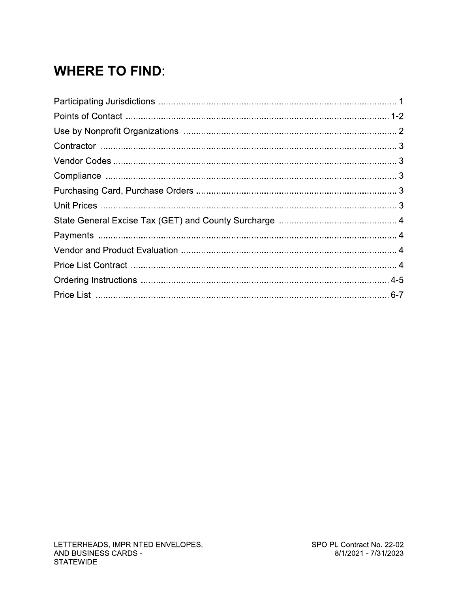# **WHERE TO FIND:**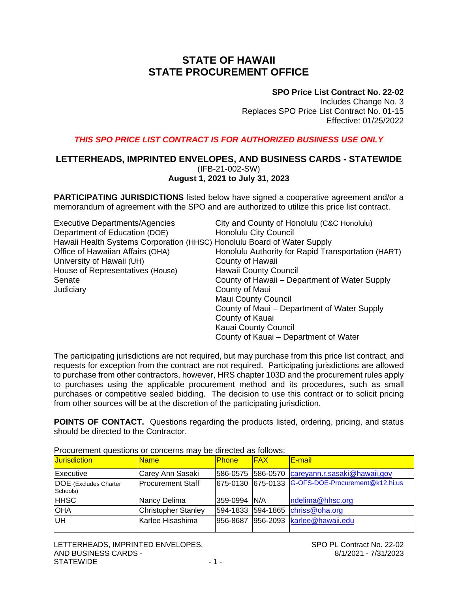## **STATE OF HAWAII STATE PROCUREMENT OFFICE**

#### **SPO Price List Contract No. 22-02**

Includes Change No. 3 Replaces SPO Price List Contract No. 01-15 Effective: 01/25/2022

#### *THIS SPO PRICE LIST CONTRACT IS FOR AUTHORIZED BUSINESS USE ONLY*

#### **LETTERHEADS, IMPRINTED ENVELOPES, AND BUSINESS CARDS - STATEWIDE** (IFB-21-002-SW) **August 1, 2021 to July 31, 2023**

**PARTICIPATING JURISDICTIONS** listed below have signed a cooperative agreement and/or a memorandum of agreement with the SPO and are authorized to utilize this price list contract.

| City and County of Honolulu (C&C Honolulu)                              |
|-------------------------------------------------------------------------|
| <b>Honolulu City Council</b>                                            |
| Hawaii Health Systems Corporation (HHSC) Honolulu Board of Water Supply |
| Honolulu Authority for Rapid Transportation (HART)                      |
| County of Hawaii                                                        |
| <b>Hawaii County Council</b>                                            |
| County of Hawaii - Department of Water Supply                           |
| County of Maui                                                          |
| <b>Maui County Council</b>                                              |
| County of Maui – Department of Water Supply                             |
| County of Kauai                                                         |
| <b>Kauai County Council</b>                                             |
|                                                                         |

The participating jurisdictions are not required, but may purchase from this price list contract, and requests for exception from the contract are not required. Participating jurisdictions are allowed to purchase from other contractors, however, HRS chapter 103D and the procurement rules apply to purchases using the applicable procurement method and its procedures, such as small purchases or competitive sealed bidding. The decision to use this contract or to solicit pricing from other sources will be at the discretion of the participating jurisdiction.

County of Kauai – Department of Water

**POINTS OF CONTACT.** Questions regarding the products listed, ordering, pricing, and status should be directed to the Contractor.

| <b>Jurisdiction</b>                      | <b>Name</b>                | <b>Phone</b>  | <b>FAX</b> | <b>E-mail</b>                                     |  |
|------------------------------------------|----------------------------|---------------|------------|---------------------------------------------------|--|
| Executive                                | Carey Ann Sasaki           |               |            | 586-0575 586-0570 careyann.r.sasaki@hawaii.gov    |  |
| <b>DOE</b> (Excludes Charter<br>Schools) | Procurement Staff          |               |            | 675-0130 675-0133 G-OFS-DOE-Procurement@k12.hi.us |  |
| <b>HHSC</b>                              | Nancy Delima               | 359-0994  N/A |            | ndelima@hhsc.org                                  |  |
| <b>OHA</b>                               | <b>Christopher Stanley</b> |               |            | 594-1833 594-1865 chriss@oha.org                  |  |
| UH                                       | lKarlee Hisashima          |               |            | 956-8687 956-2093 karlee@hawaii.edu               |  |

Procurement questions or concerns may be directed as follows: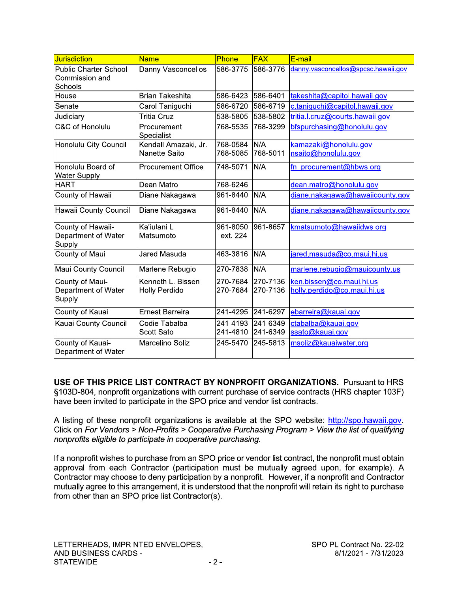| <b>Jurisdiction</b>                                       | <b>Name</b>                        | Phone                | <b>FAX</b>           | E-mail                                                  |
|-----------------------------------------------------------|------------------------------------|----------------------|----------------------|---------------------------------------------------------|
| <b>Public Charter School</b><br>Commission and<br>Schools | Danny Vasconcellos                 | 586-3775             | 586-3776             | danny.vasconcellos@spcsc.hawaii.gov                     |
| House                                                     | <b>Brian Takeshita</b>             | 586-6423             | 586-6401             | takeshita@capitol.hawaii.gov                            |
| Senate                                                    | Carol Taniguchi                    | 586-6720             | 586-6719             | c.taniguchi@capitol.hawaii.gov                          |
| Judiciary                                                 | <b>Tritia Cruz</b>                 | 538-5805             | 538-5802             | tritia.l.cruz@courts.hawaii.gov                         |
| C&C of Honolulu                                           | Procurement<br>Specialist          | 768-5535             | 768-3299             | bfspurchasing@honolulu.gov                              |
| Honolulu City Council                                     | Kendall Amazaki, Jr.               | 768-0584             | N/A                  | kamazaki@honolulu.gov                                   |
|                                                           | <b>Nanette Saito</b>               | 768-5085             | 768-5011             | nsaito@honolulu.gov                                     |
| Honolulu Board of<br><b>Water Supply</b>                  | <b>Procurement Office</b>          | 748-5071             | N/A                  | fn procurement@hbws.org                                 |
| <b>HART</b>                                               | Dean Matro                         | 768-6246             |                      | dean.matro@honolulu.gov                                 |
| County of Hawaii                                          | Diane Nakagawa                     | 961-8440             | N/A                  | diane.nakagawa@hawaiicounty.gov                         |
| Hawaii County Council                                     | Diane Nakagawa                     | 961-8440             | N/A                  | diane.nakagawa@hawaiicounty.gov                         |
| County of Hawaii-<br>Department of Water<br>Supply        | Ka'iulani L.<br>Matsumoto          | 961-8050<br>ext. 224 | 961-8657             | kmatsumoto@hawaiidws.org                                |
| County of Maui                                            | Jared Masuda                       | 463-3816             | N/A                  | jared.masuda@co.maui.hi.us                              |
| Maui County Council                                       | Marlene Rebugio                    | 270-7838             | N/A                  | marlene.rebugio@mauicounty.us                           |
| County of Maui-<br>Department of Water<br>Supply          | Kenneth L. Bissen<br>Holly Perdido | 270-7684<br>270-7684 | 270-7136<br>270-7136 | ken.bissen@co.maui.hi.us<br>holly.perdido@co.maui.hi.us |
| County of Kauai                                           | <b>Ernest Barreira</b>             | 241-4295             | 241-6297             | ebarreira@kauai.gov                                     |
| Kauai County Council                                      | Codie Tabalba<br><b>Scott Sato</b> | 241-4193<br>241-4810 | 241-6349<br>241-6349 | ctabalba@kauai.gov<br>ssato@kauai.gov                   |
| County of Kauai-<br>Department of Water                   | Marcelino Soliz                    | 245-5470             | 245-5813             | msoliz@kauaiwater.org                                   |

USE OF THIS PRICE LIST CONTRACT BY NONPROFIT ORGANIZATIONS. Pursuant to HRS §103D-804, nonprofit organizations with current purchase of service contracts (HRS chapter 103F) have been invited to participate in the SPO price and vendor list contracts.

A listing of these nonprofit organizations is available at the SPO website: http://spo.hawaii.gov. Click on For Vendors > Non-Profits > Cooperative Purchasing Program > View the list of qualifying nonprofits eligible to participate in cooperative purchasing.

If a nonprofit wishes to purchase from an SPO price or vendor list contract, the nonprofit must obtain approval from each Contractor (participation must be mutually agreed upon, for example). A Contractor may choose to deny participation by a nonprofit. However, if a nonprofit and Contractor mutually agree to this arrangement, it is understood that the nonprofit will retain its right to purchase from other than an SPO price list Contractor(s).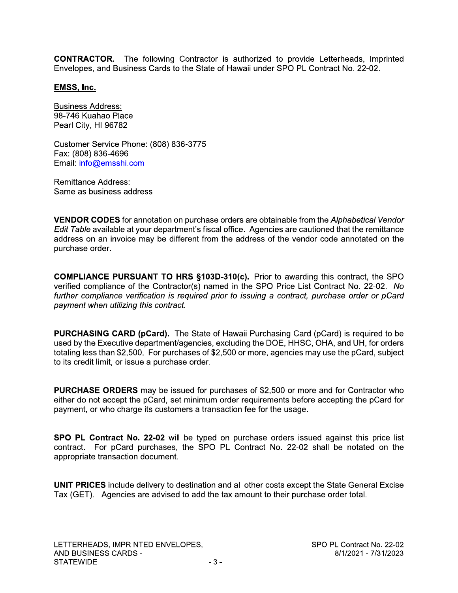**CONTRACTOR.** The following Contractor is authorized to provide Letterheads, Imprinted Envelopes, and Business Cards to the State of Hawaii under SPO PL Contract No. 22-02.

#### EMSS, Inc.

**Business Address:** 98-746 Kuahao Place Pearl City, HI 96782

Customer Service Phone: (808) 836-3775 Fax: (808) 836-4696 Email: info@emsshi.com

**Remittance Address:** Same as business address

**VENDOR CODES** for annotation on purchase orders are obtainable from the Alphabetical Vendor Edit Table available at your department's fiscal office. Agencies are cautioned that the remittance address on an invoice may be different from the address of the vendor code annotated on the purchase order.

**COMPLIANCE PURSUANT TO HRS §103D-310(c).** Prior to awarding this contract, the SPO verified compliance of the Contractor(s) named in the SPO Price List Contract No. 22-02. No further compliance verification is required prior to issuing a contract, purchase order or pCard payment when utilizing this contract.

PURCHASING CARD (pCard). The State of Hawaii Purchasing Card (pCard) is required to be used by the Executive department/agencies, excluding the DOE, HHSC, OHA, and UH, for orders totaling less than \$2,500. For purchases of \$2,500 or more, agencies may use the pCard, subject to its credit limit, or issue a purchase order.

**PURCHASE ORDERS** may be issued for purchases of \$2,500 or more and for Contractor who either do not accept the pCard, set minimum order requirements before accepting the pCard for payment, or who charge its customers a transaction fee for the usage.

SPO PL Contract No. 22-02 will be typed on purchase orders issued against this price list contract. For pCard purchases, the SPO PL Contract No. 22-02 shall be notated on the appropriate transaction document.

**UNIT PRICES** include delivery to destination and all other costs except the State General Excise Tax (GET). Agencies are advised to add the tax amount to their purchase order total.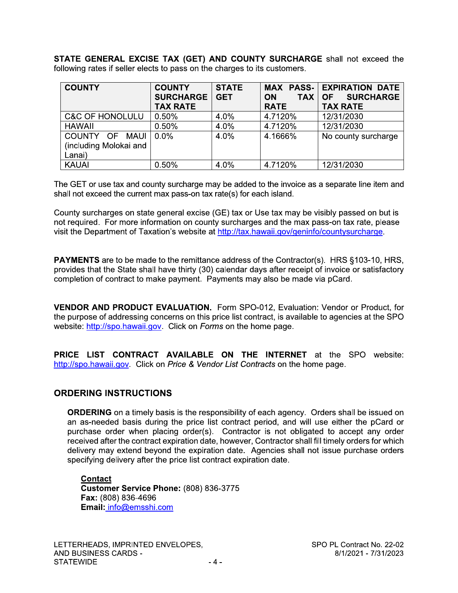STATE GENERAL EXCISE TAX (GET) AND COUNTY SURCHARGE shall not exceed the following rates if seller elects to pass on the charges to its customers.

| <b>COUNTY</b>                                      | <b>COUNTY</b><br><b>SURCHARGE</b><br><b>TAX RATE</b> | <b>STATE</b><br><b>GET</b> | <b>ON</b><br><b>TAX</b><br><b>RATE</b> | <b>MAX PASS- EXPIRATION DATE</b><br><b>SURCHARGE</b><br><b>OF</b><br><b>TAX RATE</b> |
|----------------------------------------------------|------------------------------------------------------|----------------------------|----------------------------------------|--------------------------------------------------------------------------------------|
| <b>C&amp;C OF HONOLULU</b>                         | 0.50%                                                | 4.0%                       | 4.7120%                                | 12/31/2030                                                                           |
| <b>HAWAII</b>                                      | 0.50%                                                | 4.0%                       | 4.7120%                                | 12/31/2030                                                                           |
| COUNTY OF MAUI<br>(including Molokai and<br>Lanai) | $0.0\%$                                              | 4.0%                       | 4.1666%                                | No county surcharge                                                                  |
| <b>KAUAI</b>                                       | 0.50%                                                | 4.0%                       | 4.7120%                                | 12/31/2030                                                                           |

The GET or use tax and county surcharge may be added to the invoice as a separate line item and shall not exceed the current max pass-on tax rate(s) for each island.

County surcharges on state general excise (GE) tax or Use tax may be visibly passed on but is not required. For more information on county surcharges and the max pass-on tax rate, please visit the Department of Taxation's website at http://tax.hawaii.gov/geninfo/countysurcharge.

**PAYMENTS** are to be made to the remittance address of the Contractor(s). HRS §103-10, HRS, provides that the State shall have thirty (30) calendar days after receipt of invoice or satisfactory completion of contract to make payment. Payments may also be made via pCard.

VENDOR AND PRODUCT EVALUATION. Form SPO-012, Evaluation: Vendor or Product, for the purpose of addressing concerns on this price list contract, is available to agencies at the SPO website: http://spo.hawaii.gov. Click on Forms on the home page.

PRICE LIST CONTRACT AVAILABLE ON THE INTERNET at the SPO website: http://spo.hawaii.gov. Click on Price & Vendor List Contracts on the home page.

#### **ORDERING INSTRUCTIONS**

**ORDERING** on a timely basis is the responsibility of each agency. Orders shall be issued on an as-needed basis during the price list contract period, and will use either the pCard or purchase order when placing order(s). Contractor is not obligated to accept any order received after the contract expiration date, however, Contractor shall fill timely orders for which delivery may extend beyond the expiration date. Agencies shall not issue purchase orders specifying delivery after the price list contract expiration date.

**Contact** Customer Service Phone: (808) 836-3775 Fax: (808) 836-4696 Email: info@emsshi.com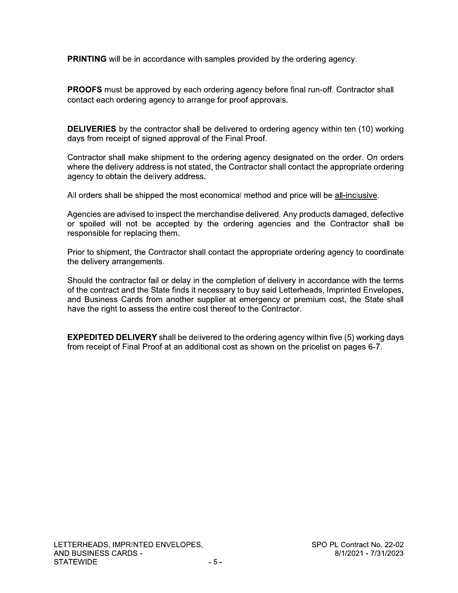**PRINTING** will be in accordance with samples provided by the ordering agency.

**PROOFS** must be approved by each ordering agency before final run-off. Contractor shall contact each ordering agency to arrange for proof approvals.

**DELIVERIES** by the contractor shall be delivered to ordering agency within ten (10) working days from receipt of signed approval of the Final Proof.

Contractor shall make shipment to the ordering agency designated on the order. On orders where the delivery address is not stated, the Contractor shall contact the appropriate ordering agency to obtain the delivery address.

All orders shall be shipped the most economical method and price will be all-inclusive.

Agencies are advised to inspect the merchandise delivered. Any products damaged, defective or spoiled will not be accepted by the ordering agencies and the Contractor shall be responsible for replacing them.

Prior to shipment, the Contractor shall contact the appropriate ordering agency to coordinate the delivery arrangements.

Should the contractor fail or delay in the completion of delivery in accordance with the terms of the contract and the State finds it necessary to buy said Letterheads, Imprinted Envelopes, and Business Cards from another supplier at emergency or premium cost, the State shall have the right to assess the entire cost thereof to the Contractor.

**EXPEDITED DELIVERY** shall be delivered to the ordering agency within five (5) working days from receipt of Final Proof at an additional cost as shown on the pricelist on pages 6-7.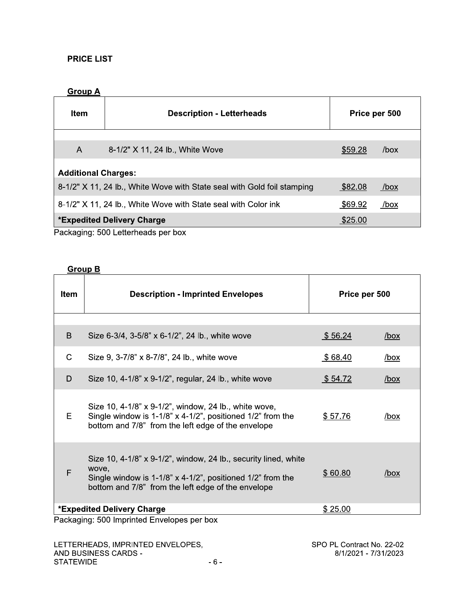#### **PRICE LIST**

#### **Group A**

| <b>Item</b>                                                                         | <b>Description - Letterheads</b>                                        | Price per 500 |             |  |  |  |
|-------------------------------------------------------------------------------------|-------------------------------------------------------------------------|---------------|-------------|--|--|--|
|                                                                                     |                                                                         |               |             |  |  |  |
| $\overline{A}$                                                                      | 8-1/2" X 11, 24 lb., White Wove                                         | \$59.28       | /box        |  |  |  |
| <b>Additional Charges:</b>                                                          |                                                                         |               |             |  |  |  |
|                                                                                     | 8-1/2" X 11, 24 lb., White Wove with State seal with Gold foil stamping | \$82.08       | <u>/box</u> |  |  |  |
|                                                                                     | 8-1/2" X 11, 24 lb., White Wove with State seal with Color ink          | \$69.92       | <u>/box</u> |  |  |  |
| <b>*Expedited Delivery Charge</b><br>\$25.00<br>Deskesina: EOO Latterbeeds non berr |                                                                         |               |             |  |  |  |

Packaging: 500 Letterheads per box

### **Group B**

| <b>Item</b>  | <b>Description - Imprinted Envelopes</b>                                                                                                                                                           | Price per 500  |             |  |
|--------------|----------------------------------------------------------------------------------------------------------------------------------------------------------------------------------------------------|----------------|-------------|--|
|              |                                                                                                                                                                                                    |                |             |  |
| B            | Size 6-3/4, 3-5/8" x 6-1/2", 24 lb., white wove                                                                                                                                                    | \$56.24        | <u>/box</u> |  |
| $\mathsf{C}$ | Size 9, 3-7/8" x 8-7/8", 24 lb., white wove                                                                                                                                                        | \$68.40        | <u>/box</u> |  |
| D            | Size 10, 4-1/8" x 9-1/2", regular, 24 lb., white wove                                                                                                                                              | \$54.72        | <u>/box</u> |  |
| E            | Size 10, 4-1/8" x 9-1/2", window, 24 lb., white wove,<br>Single window is 1-1/8" $\times$ 4-1/2", positioned 1/2" from the<br>bottom and 7/8" from the left edge of the envelope                   | \$57.76        | /box        |  |
| F            | Size 10, $4-1/8$ " x $9-1/2$ ", window, 24 lb., security lined, white<br>wove,<br>Single window is 1-1/8" x 4-1/2", positioned 1/2" from the<br>bottom and 7/8" from the left edge of the envelope | <u>\$60.80</u> | <u>/box</u> |  |
|              | <b>*Expedited Delivery Charge</b><br>Packaging: 500 Imprinted Envelopes per box                                                                                                                    | \$25.00        |             |  |

Packaging: 500 imprinted Envelopes per box